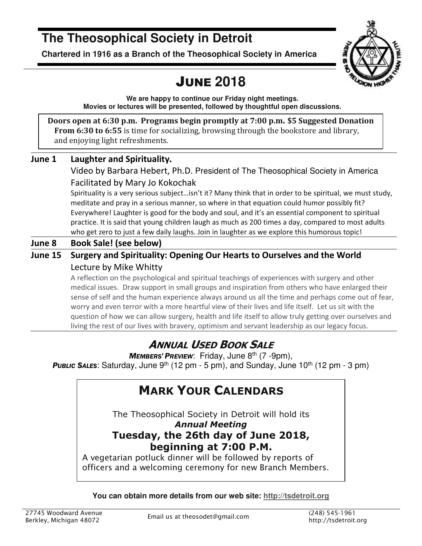# **The Theosophical Society in Detroit**

**Chartered in 1916 as a Branch of the Theosophical Society in America** 



# JUNE **2018**

**We are happy to continue our Friday night meetings. Movies or lectures will be presented, followed by thoughtful open discussions.** 

**Doors open at 6:30 p.m. Programs begin promptly at 7:00 p.m. \$5 Suggested Donation From 6:30 to 6:55** is time for socializing, browsing through the bookstore and library, and enjoying light refreshments.

## **June 1 Laughter and Spirituality.**

Video by Barbara Hebert, Ph.D. President of The Theosophical Society in America Facilitated by Mary Jo Kokochak

Spirituality is a very serious subject…isn't it? Many think that in order to be spiritual, we must study, meditate and pray in a serious manner, so where in that equation could humor possibly fit? Everywhere! Laughter is good for the body and soul, and it's an essential component to spiritual practice. It is said that young children laugh as much as 200 times a day, compared to most adults who get zero to just a few daily laughs. Join in laughter as we explore this humorous topic!

## **June 8 Book Sale! (see below)**

## **June 15 Surgery and Spirituality: Opening Our Hearts to Ourselves and the World**  Lecture by Mike Whitty

A reflection on the psychological and spiritual teachings of experiences with surgery and other medical issues. Draw support in small groups and inspiration from others who have enlarged their sense of self and the human experience always around us all the time and perhaps come out of fear, worry and even terror with a more heartful view of their lives and life itself. Let us sit with the question of how we can allow surgery, health and life itself to allow truly getting over ourselves and living the rest of our lives with bravery, optimism and servant leadership as our legacy focus.

## **ANNUAL USED BOOK SALE**

*MEMBERS' PREVIEW*: Friday, June 8th (7 -9pm), **PUBLIC SALES:** Saturday, June 9<sup>th</sup> (12 pm - 5 pm), and Sunday, June 10<sup>th</sup> (12 pm - 3 pm)

## **MARK YOUR CALENDARS**

The Theosophical Society in Detroit will hold its *Annual Meeting* **Tuesday, the 26th day of June 2018, beginning at 7:00 P.M.**

*A vegetarian potluck dinner will be followed by reports of officers and a welcoming ceremony for new Branch Members.* 

**You can obtain more details from our web site: http://tsdetroit.org**